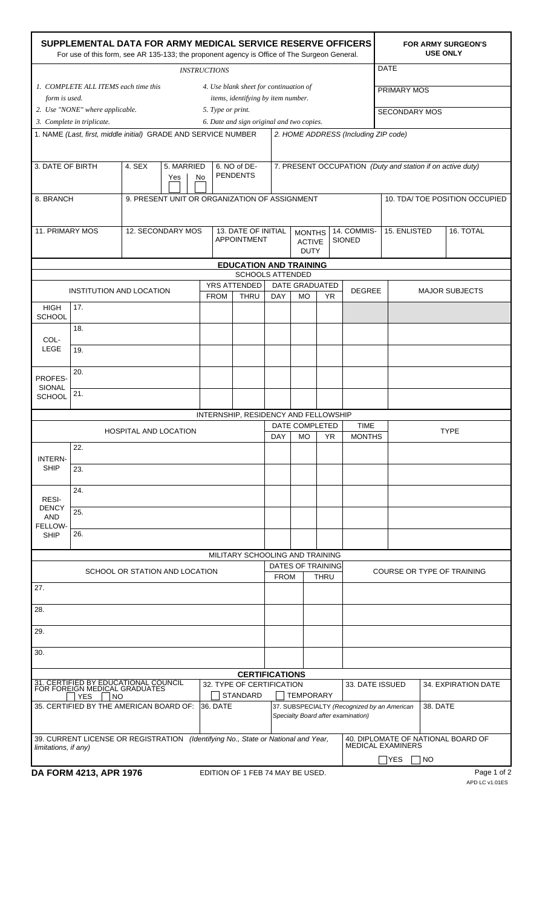| SUPPLEMENTAL DATA FOR ARMY MEDICAL SERVICE RESERVE OFFICERS<br>For use of this form, see AR 135-133; the proponent agency is Office of The Surgeon General. |                                                                                                                                           |                                 |  |                                               |                                 |                                               |                                                                       |                       |                                                            | <b>FOR ARMY SURGEON'S</b><br><b>USE ONLY</b> |                       |  |  |  |  |
|-------------------------------------------------------------------------------------------------------------------------------------------------------------|-------------------------------------------------------------------------------------------------------------------------------------------|---------------------------------|--|-----------------------------------------------|---------------------------------|-----------------------------------------------|-----------------------------------------------------------------------|-----------------------|------------------------------------------------------------|----------------------------------------------|-----------------------|--|--|--|--|
| <b>INSTRUCTIONS</b>                                                                                                                                         |                                                                                                                                           |                                 |  |                                               |                                 |                                               |                                                                       |                       |                                                            | <b>DATE</b>                                  |                       |  |  |  |  |
|                                                                                                                                                             | 1. COMPLETE ALL ITEMS each time this<br>4. Use blank sheet for continuation of<br>items, identifying by item number.<br>form is used.     |                                 |  |                                               |                                 |                                               |                                                                       |                       |                                                            | PRIMARY MOS                                  |                       |  |  |  |  |
|                                                                                                                                                             | 2. Use "NONE" where applicable.                                                                                                           |                                 |  | 5. Type or print.                             |                                 |                                               |                                                                       |                       |                                                            | SECONDARY MOS                                |                       |  |  |  |  |
|                                                                                                                                                             | 3. Complete in triplicate.<br>6. Date and sign original and two copies.<br>1. NAME (Last, first, middle initial) GRADE AND SERVICE NUMBER |                                 |  |                                               |                                 |                                               |                                                                       |                       |                                                            |                                              |                       |  |  |  |  |
|                                                                                                                                                             |                                                                                                                                           |                                 |  |                                               |                                 |                                               |                                                                       |                       | 2. HOME ADDRESS (Including ZIP code)                       |                                              |                       |  |  |  |  |
| 5. MARRIED<br>3. DATE OF BIRTH<br>4. SEX<br>Yes                                                                                                             |                                                                                                                                           |                                 |  | 6. NO of DE-<br><b>PENDENTS</b><br>No         |                                 |                                               |                                                                       |                       | 7. PRESENT OCCUPATION (Duty and station if on active duty) |                                              |                       |  |  |  |  |
| 8. BRANCH                                                                                                                                                   |                                                                                                                                           |                                 |  | 9. PRESENT UNIT OR ORGANIZATION OF ASSIGNMENT |                                 |                                               |                                                                       |                       | 10. TDA/ TOE POSITION OCCUPIED                             |                                              |                       |  |  |  |  |
| 11. PRIMARY MOS<br>12. SECONDARY MOS                                                                                                                        |                                                                                                                                           |                                 |  | 13. DATE OF INITIAL<br><b>APPOINTMENT</b>     |                                 | <b>MONTHS</b><br><b>ACTIVE</b><br><b>DUTY</b> |                                                                       | 14. COMMIS-<br>SIONED | 15. ENLISTED                                               | 16. TOTAL                                    |                       |  |  |  |  |
| <b>EDUCATION AND TRAINING</b><br><b>SCHOOLS ATTENDED</b>                                                                                                    |                                                                                                                                           |                                 |  |                                               |                                 |                                               |                                                                       |                       |                                                            |                                              |                       |  |  |  |  |
|                                                                                                                                                             |                                                                                                                                           |                                 |  |                                               | <b>YRS ATTENDED</b>             |                                               |                                                                       | <b>DATE GRADUATED</b> |                                                            |                                              |                       |  |  |  |  |
|                                                                                                                                                             |                                                                                                                                           | <b>INSTITUTION AND LOCATION</b> |  | <b>FROM</b>                                   | <b>THRU</b>                     | <b>DAY</b>                                    | <b>MO</b>                                                             | YR                    | <b>DEGREE</b>                                              |                                              | <b>MAJOR SUBJECTS</b> |  |  |  |  |
| <b>HIGH</b><br><b>SCHOOL</b>                                                                                                                                | 17.                                                                                                                                       |                                 |  |                                               |                                 |                                               |                                                                       |                       |                                                            |                                              |                       |  |  |  |  |
| COL-                                                                                                                                                        | 18.                                                                                                                                       |                                 |  |                                               |                                 |                                               |                                                                       |                       |                                                            |                                              |                       |  |  |  |  |
| LEGE                                                                                                                                                        | 19.                                                                                                                                       |                                 |  |                                               |                                 |                                               |                                                                       |                       |                                                            |                                              |                       |  |  |  |  |
|                                                                                                                                                             | 20.                                                                                                                                       |                                 |  |                                               |                                 |                                               |                                                                       |                       |                                                            |                                              |                       |  |  |  |  |
| PROFES-<br>SIONAL<br><b>SCHOOL</b>                                                                                                                          | 21.                                                                                                                                       |                                 |  |                                               |                                 |                                               |                                                                       |                       |                                                            |                                              |                       |  |  |  |  |
|                                                                                                                                                             |                                                                                                                                           |                                 |  |                                               |                                 |                                               |                                                                       |                       |                                                            |                                              |                       |  |  |  |  |
|                                                                                                                                                             |                                                                                                                                           | <b>HOSPITAL AND LOCATION</b>    |  |                                               |                                 |                                               | INTERNSHIP, RESIDENCY AND FELLOWSHIP<br>DATE COMPLETED<br><b>TIME</b> |                       |                                                            | <b>TYPE</b>                                  |                       |  |  |  |  |
|                                                                                                                                                             | 22.                                                                                                                                       |                                 |  | DAY                                           | МO<br>YR                        |                                               |                                                                       | <b>MONTHS</b>         |                                                            |                                              |                       |  |  |  |  |
| <b>INTERN-</b><br><b>SHIP</b>                                                                                                                               | 23.                                                                                                                                       |                                 |  |                                               |                                 |                                               |                                                                       |                       |                                                            |                                              |                       |  |  |  |  |
|                                                                                                                                                             |                                                                                                                                           |                                 |  |                                               |                                 |                                               |                                                                       |                       |                                                            |                                              |                       |  |  |  |  |
| RESI-                                                                                                                                                       | 24.                                                                                                                                       |                                 |  |                                               |                                 |                                               |                                                                       |                       |                                                            |                                              |                       |  |  |  |  |
| <b>DENCY</b><br><b>AND</b>                                                                                                                                  | 25.                                                                                                                                       |                                 |  |                                               |                                 |                                               |                                                                       |                       |                                                            |                                              |                       |  |  |  |  |
| FELLOW-<br><b>SHIP</b>                                                                                                                                      | 26.                                                                                                                                       |                                 |  |                                               |                                 |                                               |                                                                       |                       |                                                            |                                              |                       |  |  |  |  |
|                                                                                                                                                             |                                                                                                                                           |                                 |  |                                               | MILITARY SCHOOLING AND TRAINING |                                               |                                                                       |                       |                                                            |                                              |                       |  |  |  |  |
|                                                                                                                                                             |                                                                                                                                           | SCHOOL OR STATION AND LOCATION  |  |                                               |                                 |                                               |                                                                       | DATES OF TRAINING     |                                                            | COURSE OR TYPE OF TRAINING                   |                       |  |  |  |  |
| 27.                                                                                                                                                         |                                                                                                                                           |                                 |  |                                               |                                 | <b>FROM</b>                                   |                                                                       | <b>THRU</b>           |                                                            |                                              |                       |  |  |  |  |
| 28.                                                                                                                                                         |                                                                                                                                           |                                 |  |                                               |                                 |                                               |                                                                       |                       |                                                            |                                              |                       |  |  |  |  |
| 29.                                                                                                                                                         |                                                                                                                                           |                                 |  |                                               |                                 |                                               |                                                                       |                       |                                                            |                                              |                       |  |  |  |  |
| 30.                                                                                                                                                         |                                                                                                                                           |                                 |  |                                               |                                 |                                               |                                                                       |                       |                                                            |                                              |                       |  |  |  |  |
| <b>CERTIFICATIONS</b>                                                                                                                                       |                                                                                                                                           |                                 |  |                                               |                                 |                                               |                                                                       |                       |                                                            |                                              |                       |  |  |  |  |
| 31. CERTIFIED BY EDUCATIONAL COUNCIL<br>FOR FOREIGN MEDICAL GRADUATES<br>32. TYPE OF CERTIFICATION<br>STANDARD<br><b>NO</b><br><b>YES</b>                   |                                                                                                                                           |                                 |  |                                               |                                 |                                               |                                                                       | <b>TEMPORARY</b>      |                                                            | 34. EXPIRATION DATE<br>33. DATE ISSUED       |                       |  |  |  |  |
| 35. CERTIFIED BY THE AMERICAN BOARD OF:<br>36. DATE<br>37. SUBSPECIALTY (Recognized by an American<br>38. DATE<br>Specialty Board after examination)        |                                                                                                                                           |                                 |  |                                               |                                 |                                               |                                                                       |                       |                                                            |                                              |                       |  |  |  |  |
| 39. CURRENT LICENSE OR REGISTRATION<br>40. DIPLOMATE OF NATIONAL BOARD OF<br>(Identifying No., State or National and Year,                                  |                                                                                                                                           |                                 |  |                                               |                                 |                                               |                                                                       |                       |                                                            |                                              |                       |  |  |  |  |
| limitations, if any)                                                                                                                                        |                                                                                                                                           |                                 |  |                                               |                                 |                                               |                                                                       |                       | <b>MEDICAL EXAMINERS</b><br>YES<br><b>NO</b>               |                                              |                       |  |  |  |  |
| DA FORM 4213, APR 1976<br>EDITION OF 1 FEB 74 MAY BE USED.                                                                                                  |                                                                                                                                           |                                 |  |                                               |                                 |                                               |                                                                       |                       |                                                            |                                              | Page 1 of 2           |  |  |  |  |